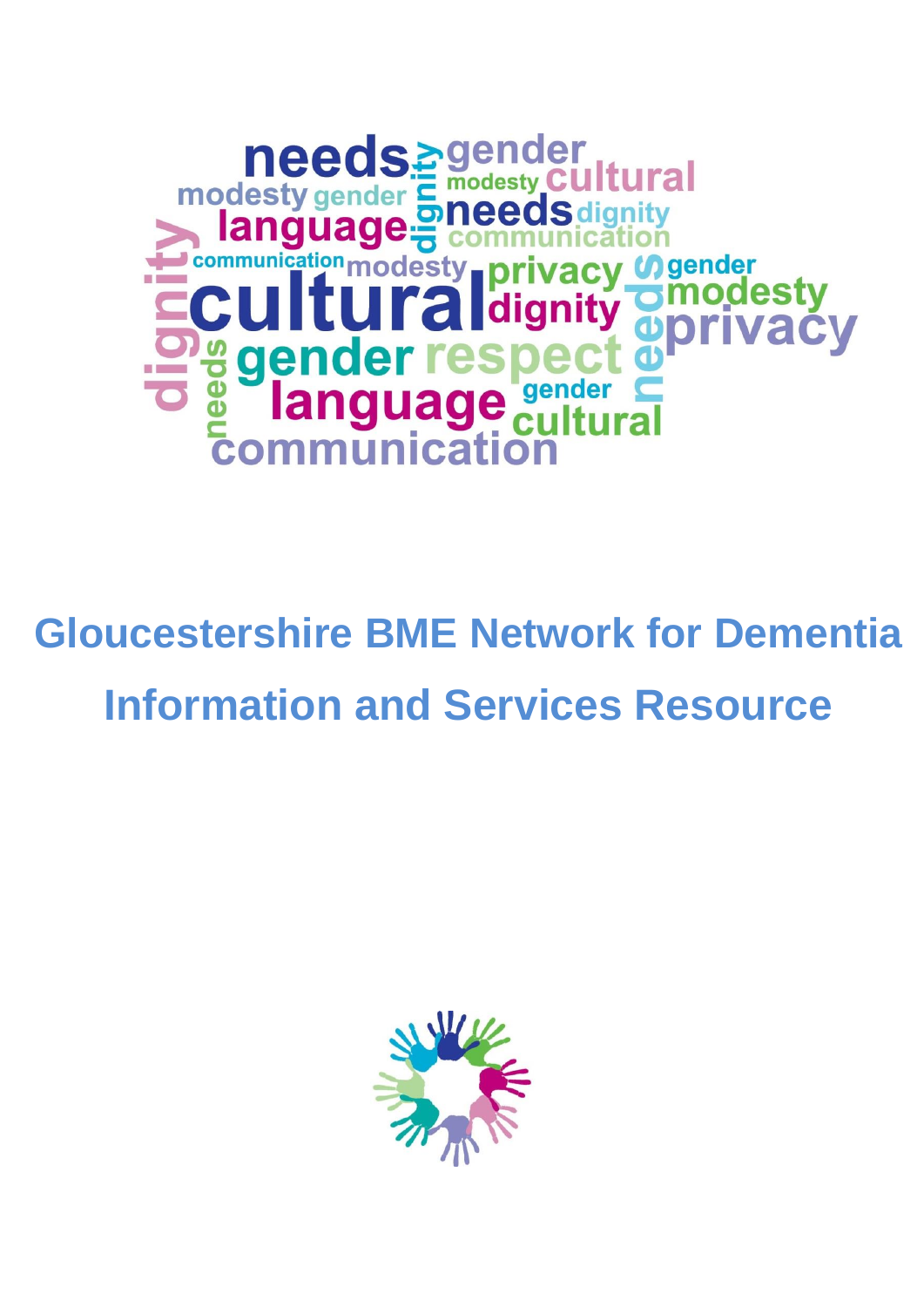

# **Gloucestershire BME Network for Dementia Information and Services Resource**

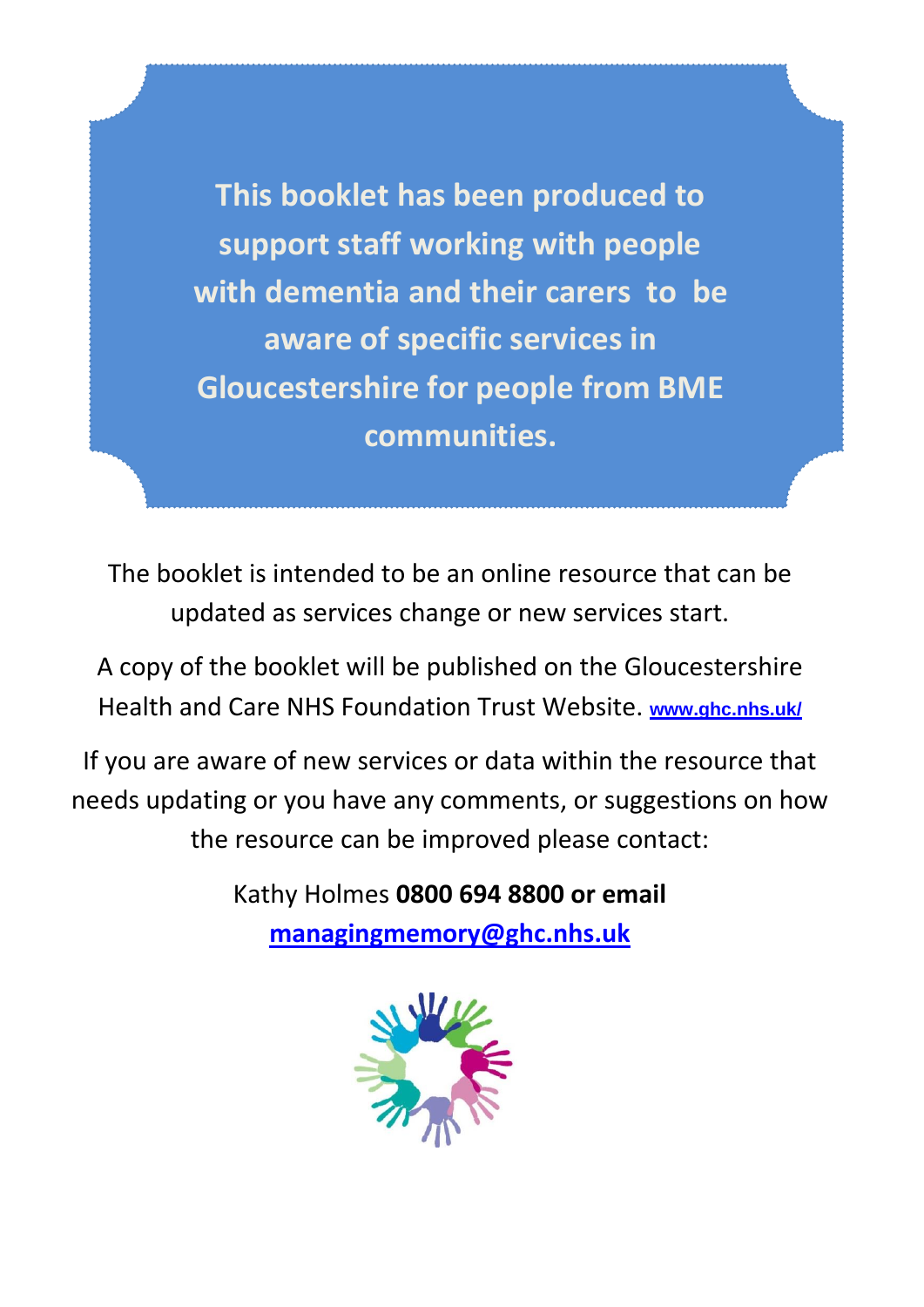**This booklet has been produced to support staff working with people with dementia and their carers to be aware of specific services in Gloucestershire for people from BME communities.** 

The booklet is intended to be an online resource that can be updated as services change or new services start.

A copy of the booklet will be published on the Gloucestershire Health and Care NHS Foundation Trust Website. **www.ghc.nhs.uk/**

If you are aware of new services or data within the resource that needs updating or you have any comments, or suggestions on how the resource can be improved please contact:

> Kathy Holmes **0800 694 8800 or email [managingmemory@ghc.nhs.](mailto:2gnft.managingmemory2g@nhs.net)uk**

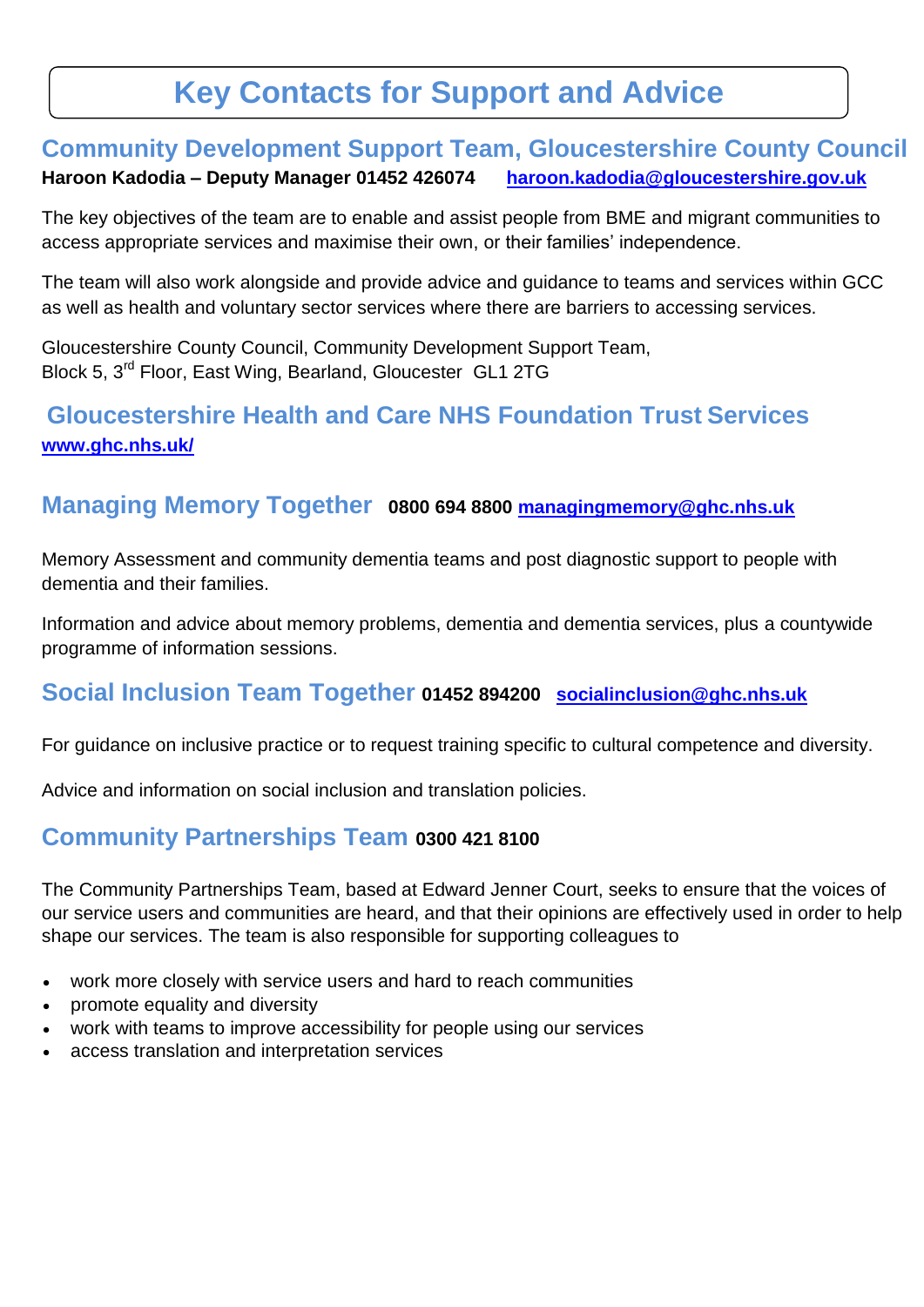# **Key Contacts for Support and Advice**

## **Community Development Support Team, Gloucestershire County Council Haroon Kadodia – Deputy Manager 01452 426074 [haroon.kadodia@gloucestershire.gov.uk](mailto:haroon.kadodia@gloucestershire.gov.uk)**

The key objectives of the team are to enable and assist people from BME and migrant communities to access appropriate services and maximise their own, or their families' independence.

The team will also work alongside and provide advice and guidance to teams and services within GCC as well as health and voluntary sector services where there are barriers to accessing services.

Gloucestershire County Council, Community Development Support Team, Block 5, 3rd Floor, East Wing, Bearland, Gloucester GL1 2TG

# **Gloucestershire Health and Care NHS Foundation Trust Services www.ghc.nhs.uk/**

## **Managing Memory Together 0800 694 8800 [managingmemory@ghc.nhs.uk](mailto:managingmemory@ghc.nhs.uk)**

Memory Assessment and community dementia teams and post diagnostic support to people with dementia and their families.

Information and advice about memory problems, dementia and dementia services, plus a countywide programme of information sessions.

# **Social Inclusion Team Together 01452 894200 [socialinclusion@ghc.nhs.uk](mailto:socialinclusion@ghc.nhs.uk)**

For guidance on inclusive practice or to request training specific to cultural competence and diversity.

Advice and information on social inclusion and translation policies.

## **Community Partnerships Team 0300 421 8100**

The Community Partnerships Team, based at Edward Jenner Court, seeks to ensure that the voices of our service users and communities are heard, and that their opinions are effectively used in order to help shape our services. The team is also responsible for supporting colleagues to

- work more closely with service users and hard to reach communities
- promote equality and diversity
- work with teams to improve accessibility for people using our services
- access translation and interpretation services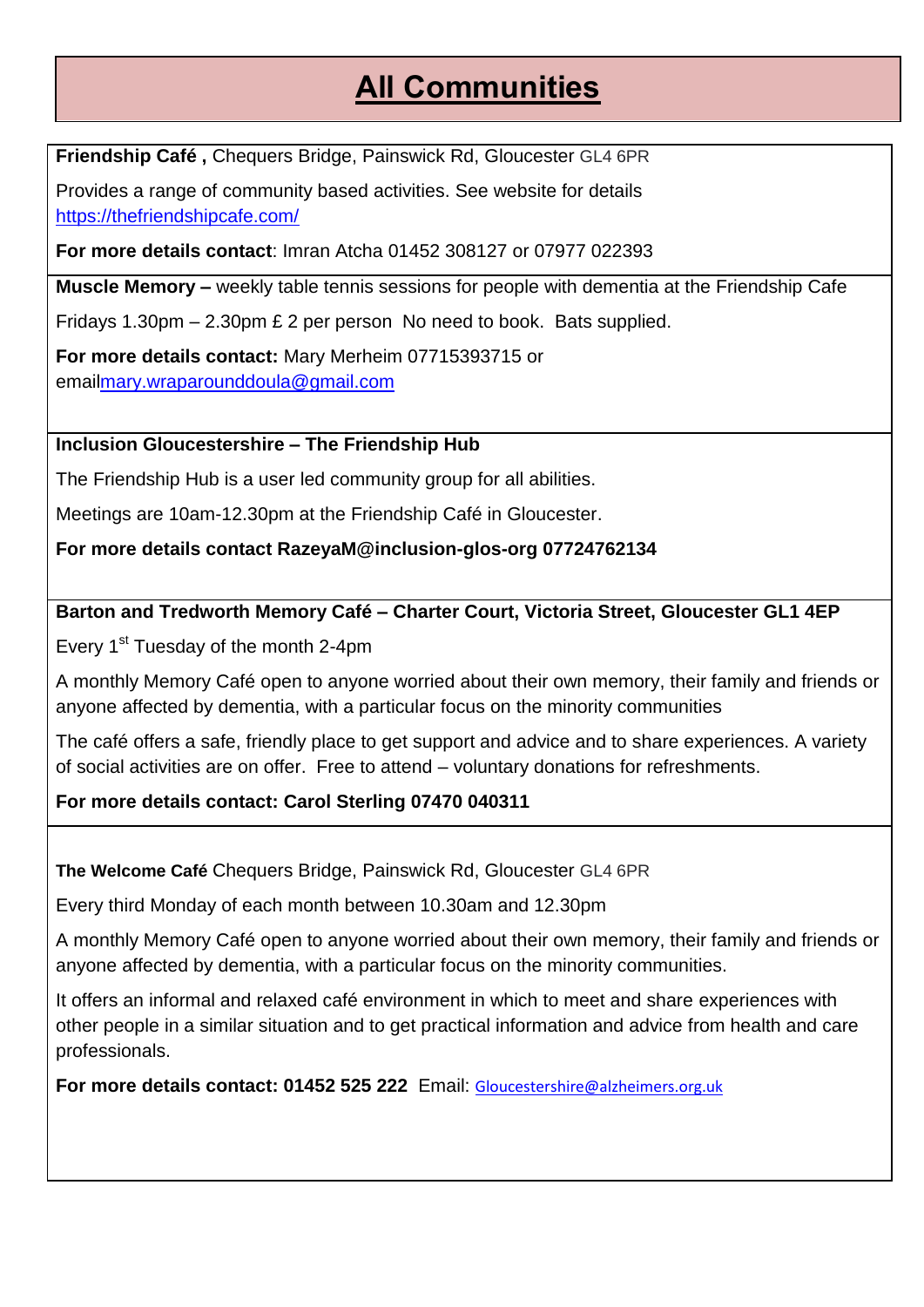# **All Communities**

**Friendship Café ,** Chequers Bridge, Painswick Rd, Gloucester GL4 6PR

Provides a range of community based activities. See website for details <https://thefriendshipcafe.com/>

**For more details contact**: Imran Atcha 01452 308127 or 07977 022393

**Muscle Memory –** weekly table tennis sessions for people with dementia at the Friendship Cafe

Fridays 1.30pm – 2.30pm £ 2 per person No need to book. Bats supplied.

**For more details contact:** Mary Merheim 07715393715 or ema[ilmary.wraparounddoula@gmail.com](mailto:mary.wraparounddoula@gmail.com)

#### **Inclusion Gloucestershire – The Friendship Hub**

The Friendship Hub is a user led community group for all abilities.

Meetings are 10am-12.30pm at the Friendship Café in Gloucester.

**For more details contact RazeyaM@inclusion-glos-org 07724762134**

#### **Barton and Tredworth Memory Café – Charter Court, Victoria Street, Gloucester GL1 4EP**

Every 1<sup>st</sup> Tuesday of the month 2-4pm

A monthly Memory Café open to anyone worried about their own memory, their family and friends or anyone affected by dementia, with a particular focus on the minority communities

The café offers a safe, friendly place to get support and advice and to share experiences. A variety of social activities are on offer. Free to attend – voluntary donations for refreshments.

#### **For more details contact: Carol Sterling 07470 040311**

**The Welcome Café** Chequers Bridge, Painswick Rd, Gloucester GL4 6PR

Every third Monday of each month between 10.30am and 12.30pm

A monthly Memory Café open to anyone worried about their own memory, their family and friends or anyone affected by dementia, with a particular focus on the minority communities.

It offers an informal and relaxed café environment in which to meet and share experiences with other people in a similar situation and to get practical information and advice from health and care professionals.

**For more details contact: 01452 525 222** Email: Gloucestershire@alzheimers.org.uk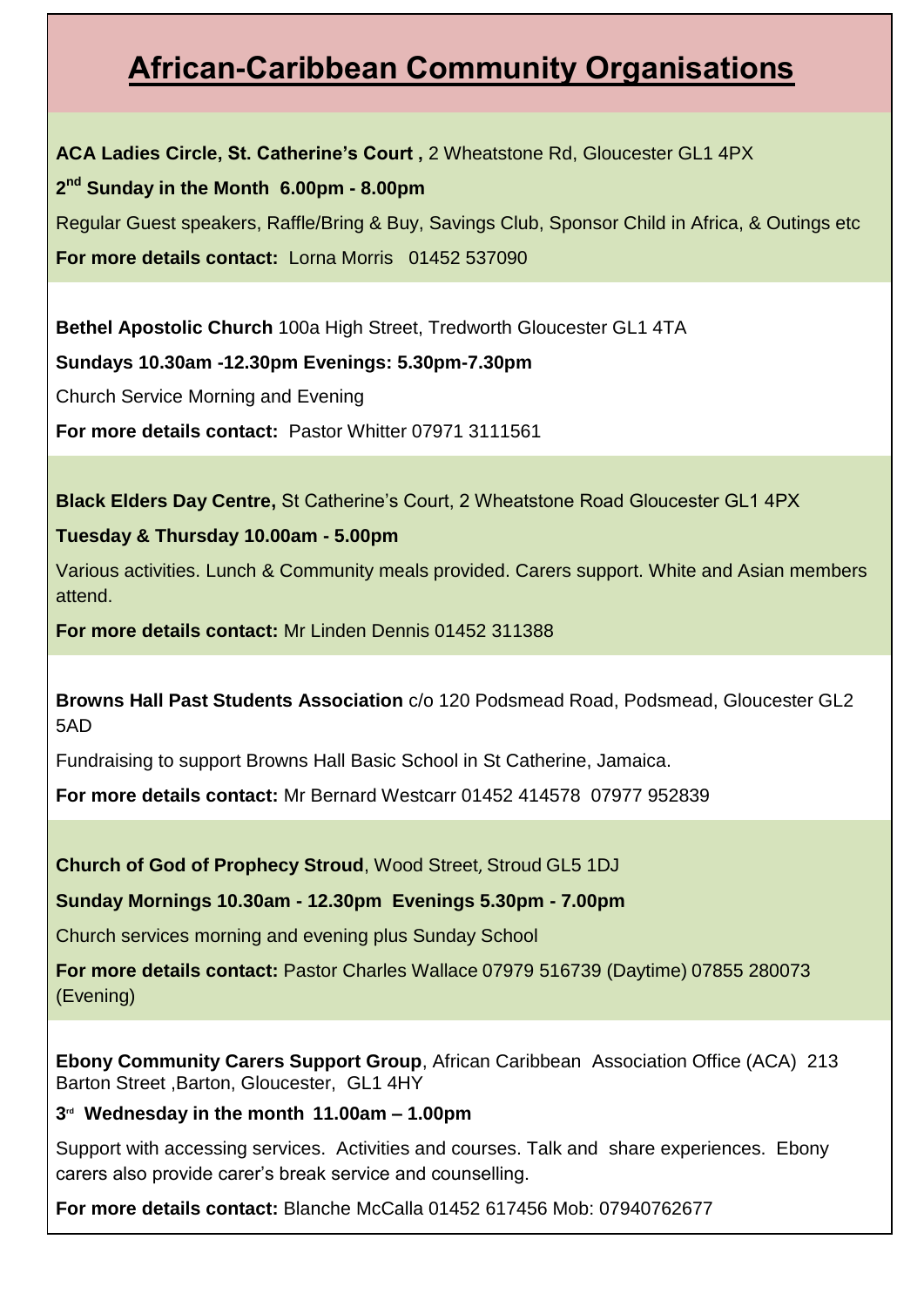# **African-Caribbean Community Organisations**

**ACA Ladies Circle, St. Catherine's Court ,** 2 Wheatstone Rd, Gloucester GL1 4PX **2 nd Sunday in the Month 6.00pm - 8.00pm** Regular Guest speakers, Raffle/Bring & Buy, Savings Club, Sponsor Child in Africa, & Outings etc

**For more details contact:** Lorna Morris 01452 537090

**Bethel Apostolic Church** 100a High Street, Tredworth Gloucester GL1 4TA

**Sundays 10.30am -12.30pm Evenings: 5.30pm-7.30pm**

Church Service Morning and Evening

**For more details contact:** Pastor Whitter 07971 3111561

**Black Elders Day Centre,** St Catherine's Court, 2 Wheatstone Road Gloucester GL1 4PX

#### **Tuesday & Thursday 10.00am - 5.00pm**

Various activities. Lunch & Community meals provided. Carers support. White and Asian members attend.

**For more details contact:** Mr Linden Dennis 01452 311388

**Browns Hall Past Students Association** c/o 120 Podsmead Road, Podsmead, Gloucester GL2 5AD

Fundraising to support Browns Hall Basic School in St Catherine, Jamaica.

**For more details contact:** Mr Bernard Westcarr 01452 414578 07977 952839

**Church of God of Prophecy Stroud**, Wood Street, Stroud GL5 1DJ

**Sunday Mornings 10.30am - 12.30pm Evenings 5.30pm - 7.00pm**

Church services morning and evening plus Sunday School

**For more details contact:** Pastor Charles Wallace 07979 516739 (Daytime) 07855 280073 (Evening)

**Ebony Community Carers Support Group**, African Caribbean Association Office (ACA) 213 Barton Street ,Barton, Gloucester, GL1 4HY

#### **3 rd Wednesday in the month 11.00am – 1.00pm**

Support with accessing services. Activities and courses. Talk and share experiences. Ebony carers also provide carer's break service and counselling.

**For more details contact:** Blanche McCalla 01452 617456 Mob: 07940762677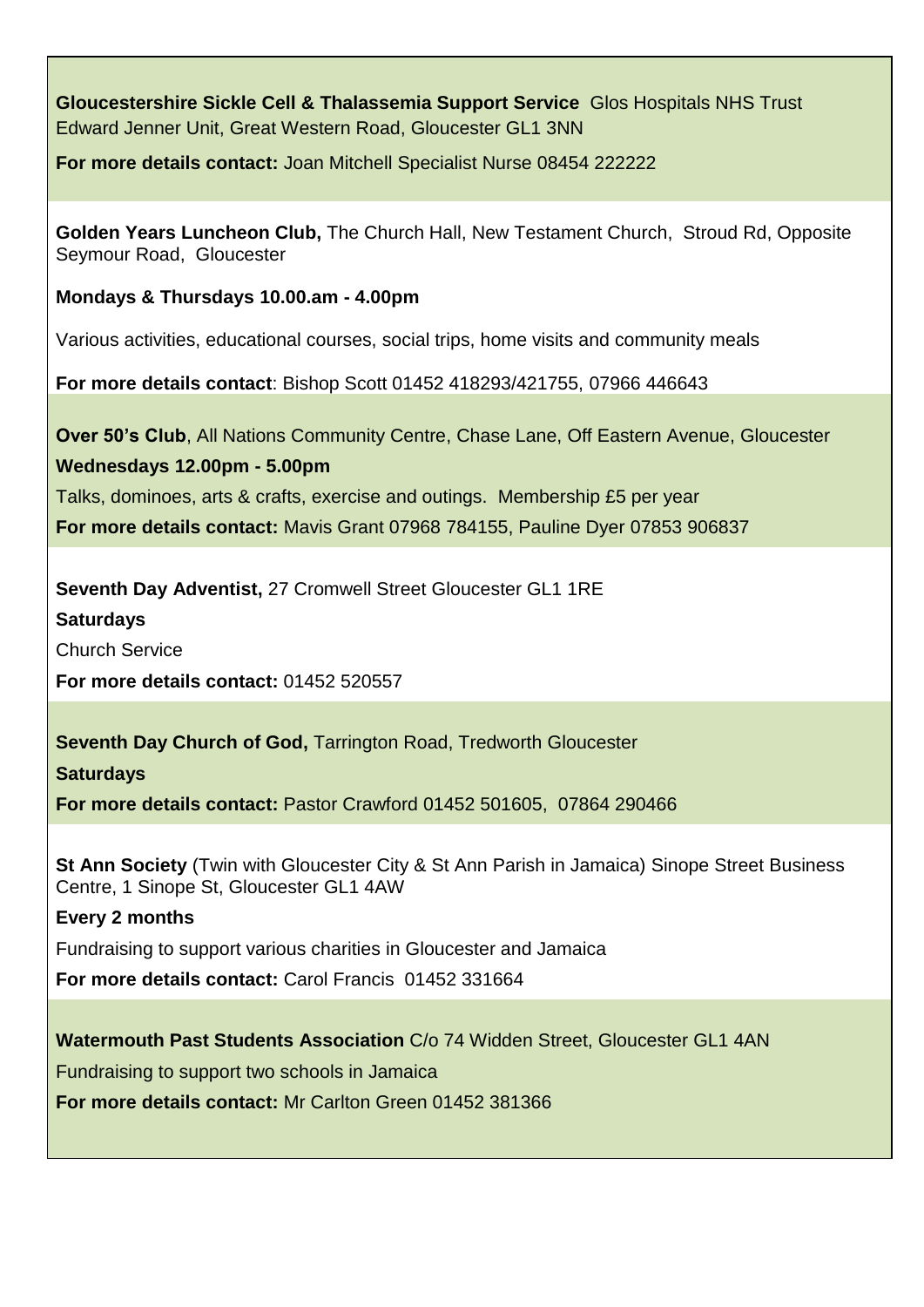**Gloucestershire Sickle Cell & Thalassemia Support Service** Glos Hospitals NHS Trust Edward Jenner Unit, Great Western Road, Gloucester GL1 3NN

**For more details contact:** Joan Mitchell Specialist Nurse 08454 222222

**Golden Years Luncheon Club,** The Church Hall, New Testament Church, Stroud Rd, Opposite Seymour Road, Gloucester

**Mondays & Thursdays 10.00.am - 4.00pm**

Various activities, educational courses, social trips, home visits and community meals

**For more details contact**: Bishop Scott 01452 418293/421755, 07966 446643

**Over 50's Club**, All Nations Community Centre, Chase Lane, Off Eastern Avenue, Gloucester

**Wednesdays 12.00pm - 5.00pm**

Talks, dominoes, arts & crafts, exercise and outings. Membership £5 per year

**For more details contact:** Mavis Grant 07968 784155, Pauline Dyer 07853 906837

**Seventh Day Adventist,** 27 Cromwell Street Gloucester GL1 1RE

**Saturdays**

Church Service

**For more details contact:** 01452 520557

**Seventh Day Church of God,** Tarrington Road, Tredworth Gloucester

**Saturdays**

**For more details contact:** Pastor Crawford 01452 501605, 07864 290466

**St Ann Society** (Twin with Gloucester City & St Ann Parish in Jamaica) Sinope Street Business Centre, 1 Sinope St, Gloucester GL1 4AW

#### **Every 2 months**

Fundraising to support various charities in Gloucester and Jamaica

**For more details contact:** Carol Francis 01452 331664

**Watermouth Past Students Association** C/o 74 Widden Street, Gloucester GL1 4AN

Fundraising to support two schools in Jamaica

**For more details contact:** Mr Carlton Green 01452 381366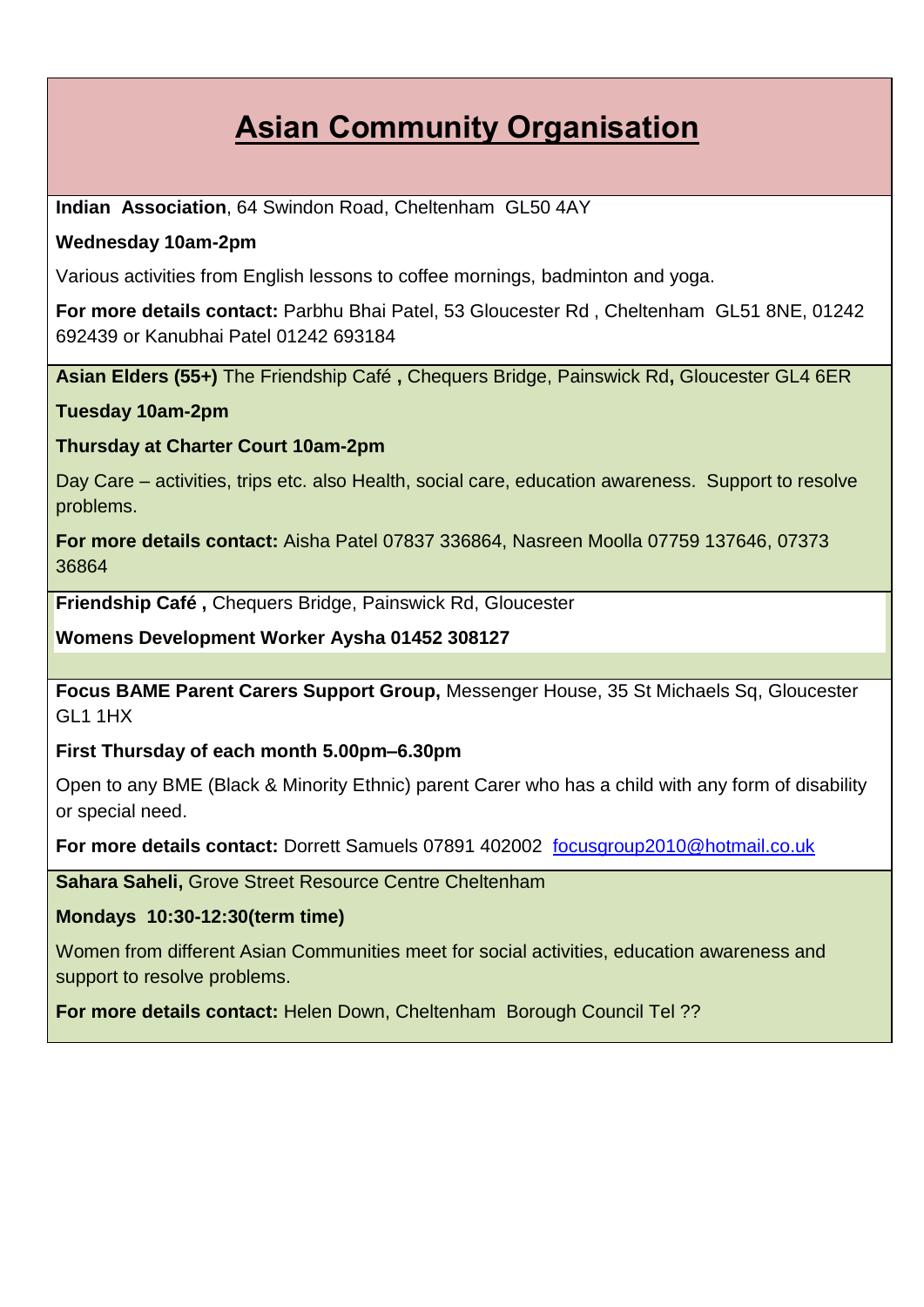# **Asian Community Organisation**

**Indian Association**, 64 Swindon Road, Cheltenham GL50 4AY

#### **Wednesday 10am-2pm**

Various activities from English lessons to coffee mornings, badminton and yoga.

**For more details contact:** Parbhu Bhai Patel, 53 Gloucester Rd , Cheltenham GL51 8NE, 01242 692439 or Kanubhai Patel 01242 693184

**Asian Elders (55+)** The Friendship Café **,** Chequers Bridge, Painswick Rd**,** Gloucester GL4 6ER

**Tuesday 10am-2pm**

#### **Thursday at Charter Court 10am-2pm**

Day Care – activities, trips etc. also Health, social care, education awareness. Support to resolve problems.

**For more details contact:** Aisha Patel 07837 336864, Nasreen Moolla 07759 137646, 07373 36864

**Friendship Café ,** Chequers Bridge, Painswick Rd, Gloucester

**Womens Development Worker Aysha 01452 308127**

**Focus BAME Parent Carers Support Group,** Messenger House, 35 St Michaels Sq, Gloucester GL1 1HX

**First Thursday of each month 5.00pm–6.30pm**

Open to any BME (Black & Minority Ethnic) parent Carer who has a child with any form of disability or special need.

**For more details contact:** Dorrett Samuels 07891 402002 [focusgroup2010@hotmail.co.uk](mailto:focusgroup2010@hotmail.co.uk)

**Sahara Saheli,** Grove Street Resource Centre Cheltenham

**Mondays 10:30-12:30(term time)**

Women from different Asian Communities meet for social activities, education awareness and support to resolve problems.

**For more details contact:** Helen Down, Cheltenham Borough Council Tel ??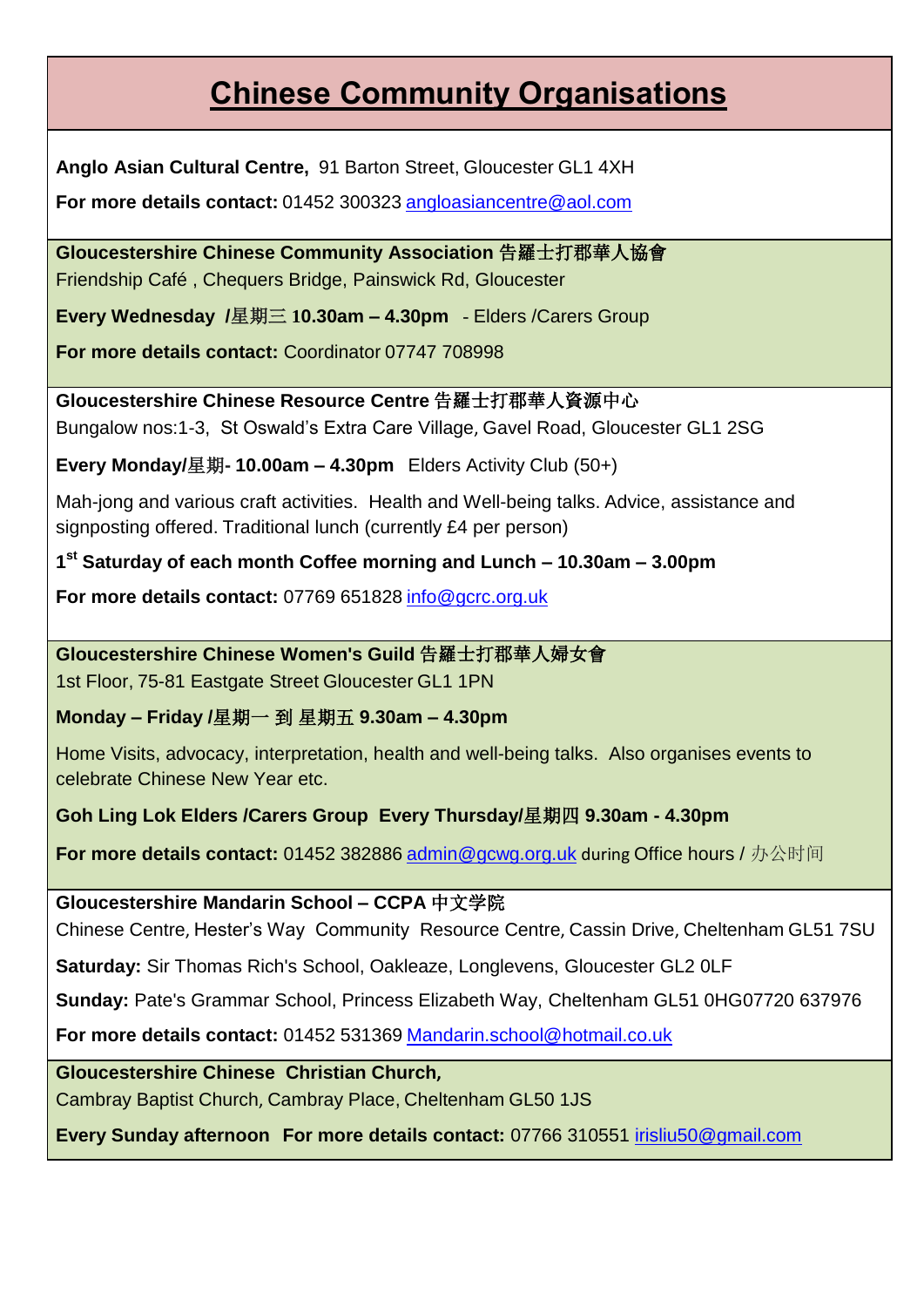# **Chinese Community Organisations**

**Anglo Asian Cultural Centre,** 91 Barton Street, Gloucester GL1 4XH

**For more details contact:** 01452 300323 [angloasiancentre@aol.com](mailto:angloasiancentre@aol.com)

**Gloucestershire Chinese Community Association** 告羅士打郡華人協會 Friendship Café , Chequers Bridge, Painswick Rd, Gloucester

**Every Wednesday /**星期三 **10.30am – 4.30pm** - Elders /Carers Group

**For more details contact:** Coordinator 07747 708998

**Gloucestershire Chinese Resource Centre** 告羅士打郡華人資源中心 Bungalow nos:1-3, St Oswald's Extra Care Village, Gavel Road, Gloucester GL1 2SG

**Every Monday/**星期**- 10.00am – 4.30pm** Elders Activity Club (50+)

Mah-jong and various craft activities. Health and Well-being talks. Advice, assistance and signposting offered. Traditional lunch (currently £4 per person)

**1 st Saturday of each month Coffee morning and Lunch – 10.30am – 3.00pm**

**For more details contact:** 07769 651828 [info@gcrc.org.uk](mailto:info@grcc.org.uk)

**Gloucestershire Chinese Women's Guild** 告羅士打郡華人婦女會

1st Floor, 75-81 Eastgate Street Gloucester GL1 1PN

**Monday – Friday /**星期一 到 星期五 **9.30am – 4.30pm**

Home Visits, advocacy, interpretation, health and well-being talks. Also organises events to celebrate Chinese New Year etc.

**Goh Ling Lok Elders /Carers Group Every Thursday/**星期四 **9.30am - 4.30pm**

**For more details contact:** 01452 382886 [admin@gcwg.org.uk](mailto:admin@gcwg.org.uk) during Office hours / 办公时间

**Gloucestershire Mandarin School – CCPA** 中文学院

Chinese Centre, Hester's Way Community Resource Centre, Cassin Drive, Cheltenham GL51 7SU

**Saturday:** Sir Thomas Rich's School, Oakleaze, Longlevens, Gloucester GL2 0LF

**Sunday:** Pate's Grammar School, Princess Elizabeth Way, Cheltenham GL51 0HG07720 637976

**For more details contact:** 01452 531369 [Mandarin.school@hotmail.co.uk](mailto:Mandarin.school@hotmail.co.uk)

**Gloucestershire Chinese Christian Church,**

Cambray Baptist Church, Cambray Place, Cheltenham GL50 1JS

**Every Sunday afternoon For more details contact:** 07766 310551 [irisliu50@gmail.com](mailto:irisliu50@gmail.com)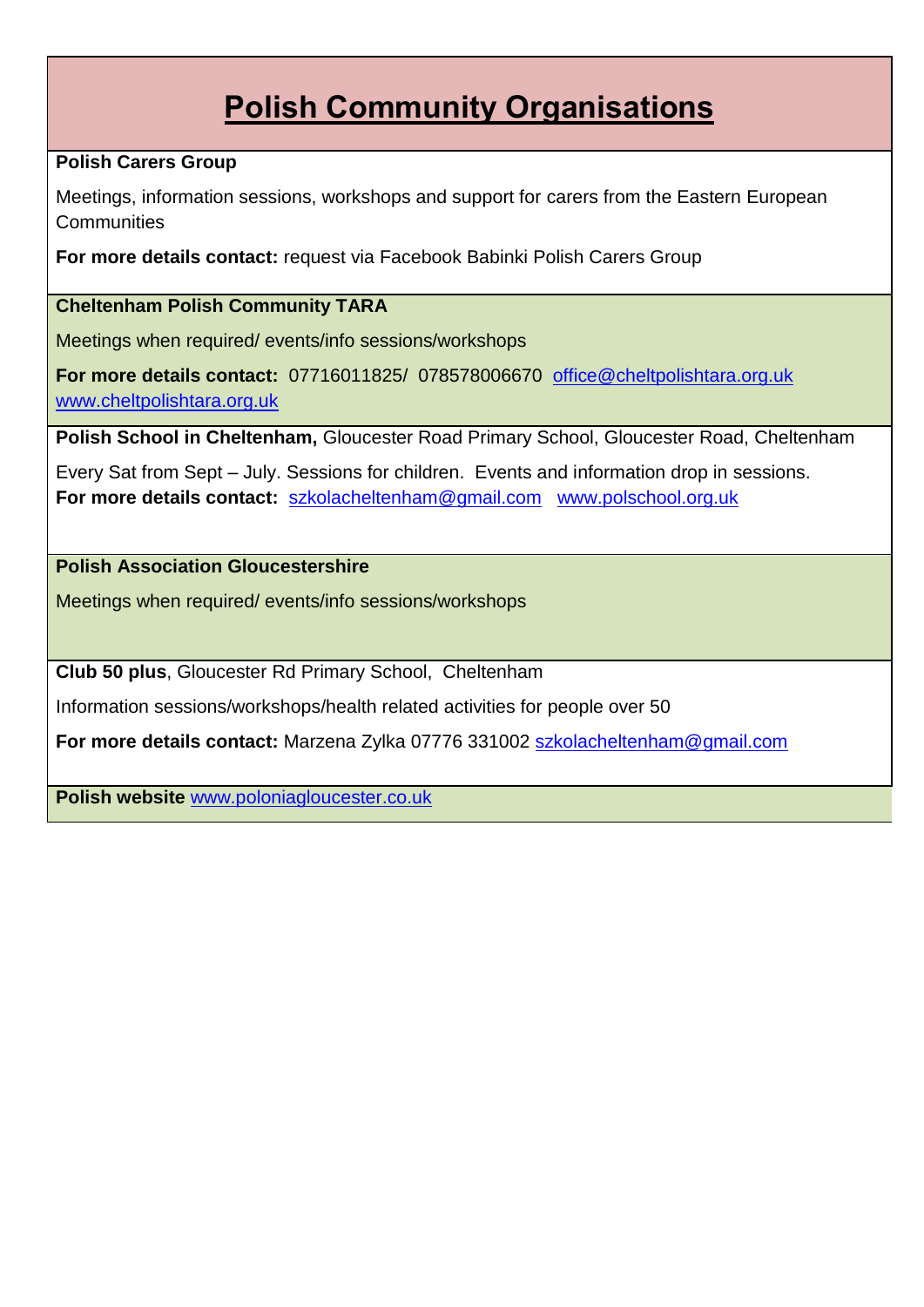# **Polish Community Organisations**

#### **Polish Carers Group**

Meetings, information sessions, workshops and support for carers from the Eastern European **Communities** 

**For more details contact:** request via Facebook Babinki Polish Carers Group

#### **Cheltenham Polish Community TARA**

Meetings when required/ events/info sessions/workshops

**For more details contact:** 07716011825/ 078578006670 [office@cheltpolishtara.org.uk](mailto:office@cheltpolishtara.org.uk)  [www.cheltpolishtara.org.uk](http://www.cheltpolishtara.org.uk/)

**Polish School in Cheltenham,** Gloucester Road Primary School, Gloucester Road, Cheltenham

Every Sat from Sept – July. Sessions for children. Events and information drop in sessions. **For more details contact:** [szkolacheltenham@gmail.com](mailto:szkolacheltenham@gmail.com) [www.polschool.org.uk](http://www.polschool.org.uk/)

#### **Polish Association Gloucestershire**

Meetings when required/ events/info sessions/workshops

**Club 50 plus**, Gloucester Rd Primary School, Cheltenham

Information sessions/workshops/health related activities for people over 50

**For more details contact:** Marzena Zylka 07776 331002 [szkolacheltenham@gmail.com](mailto:szkolacheltenham@gmail.com)

**Polish website** [www.poloniagloucester.co.uk](http://www.poloniagloucester.co.uk/)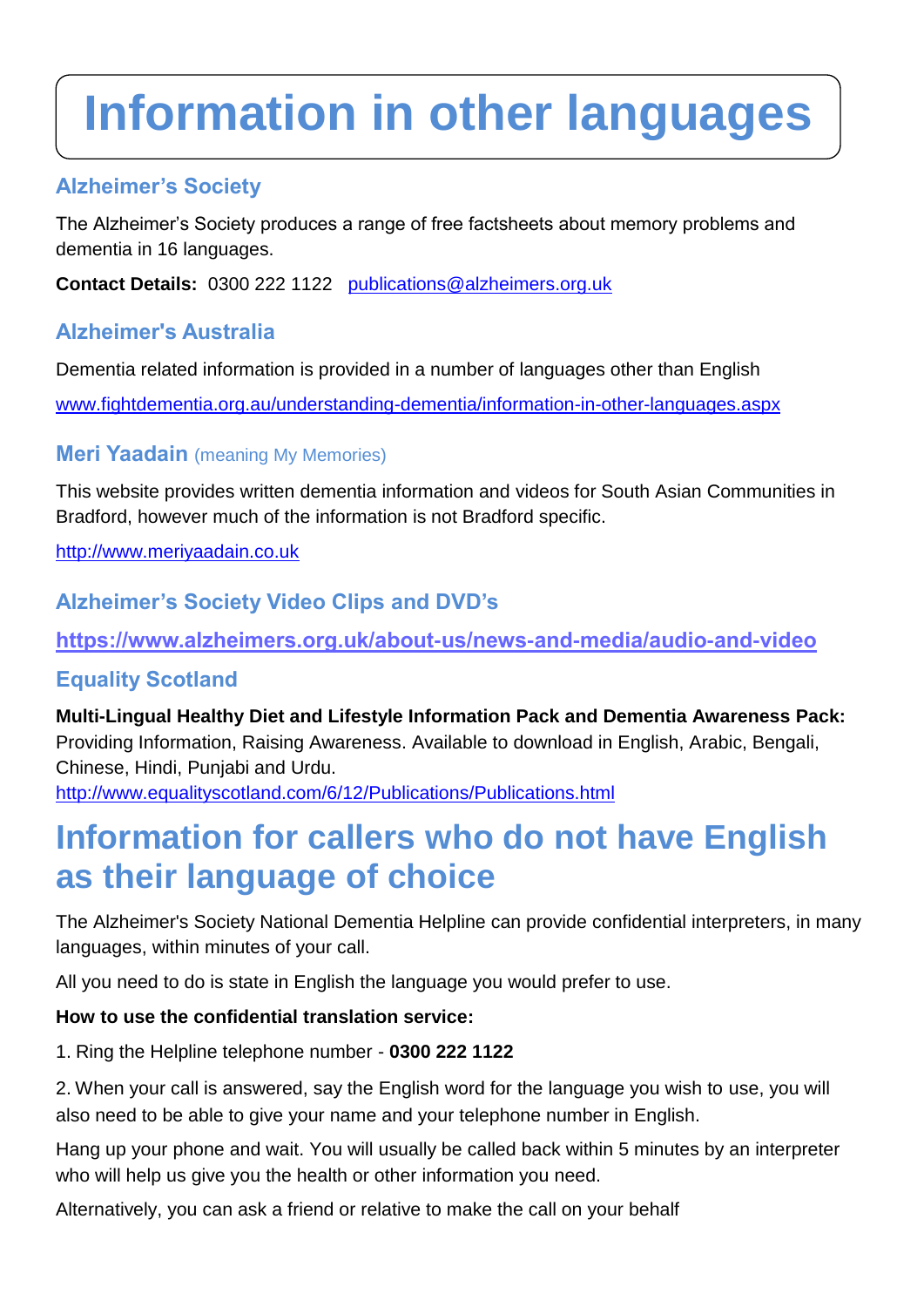# **Information in other languages**

## **Alzheimer's Society**

The Alzheimer's Society produces a range of free factsheets about memory problems and dementia in 16 languages.

**Contact Details:** 0300 222 1122 [publications@alzheimers.org.uk](mailto:publications@alzheimers.org.uk) 

## **Alzheimer's Australia**

Dementia related information is provided in a number of languages other than English

[www.fightdementia.org.au/understanding-dementia/information-in-other-languages.aspx](http://www.fightdementia.org.au/understanding-dementia/information-in-other-languages.aspx) 

## **Meri Yaadain** (meaning My Memories)

This website provides written dementia information and videos for South Asian Communities in Bradford, however much of the information is not Bradford specific.

[http://www.meriyaadain.co.uk](http://www.meriyaadain.co.uk/)

# **Alzheimer's Society Video Clips and DVD's**

**<https://www.alzheimers.org.uk/about-us/news-and-media/audio-and-video>**

# **Equality Scotland**

**Multi-Lingual Healthy Diet and Lifestyle Information Pack and Dementia Awareness Pack:**  Providing Information, Raising Awareness. Available to download in English, Arabic, Bengali, Chinese, Hindi, Punjabi and Urdu.

<http://www.equalityscotland.com/6/12/Publications/Publications.html>

# **Information for callers who do not have English as their language of choice**

The Alzheimer's Society National Dementia Helpline can provide confidential interpreters, in many languages, within minutes of your call.

All you need to do is state in English the language you would prefer to use.

#### **How to use the confidential translation service:**

1. Ring the Helpline telephone number - **0300 222 1122**

2. When your call is answered, say the English word for the language you wish to use, you will also need to be able to give your name and your telephone number in English.

Hang up your phone and wait. You will usually be called back within 5 minutes by an interpreter who will help us give you the health or other information you need.

Alternatively, you can ask a friend or relative to make the call on your behalf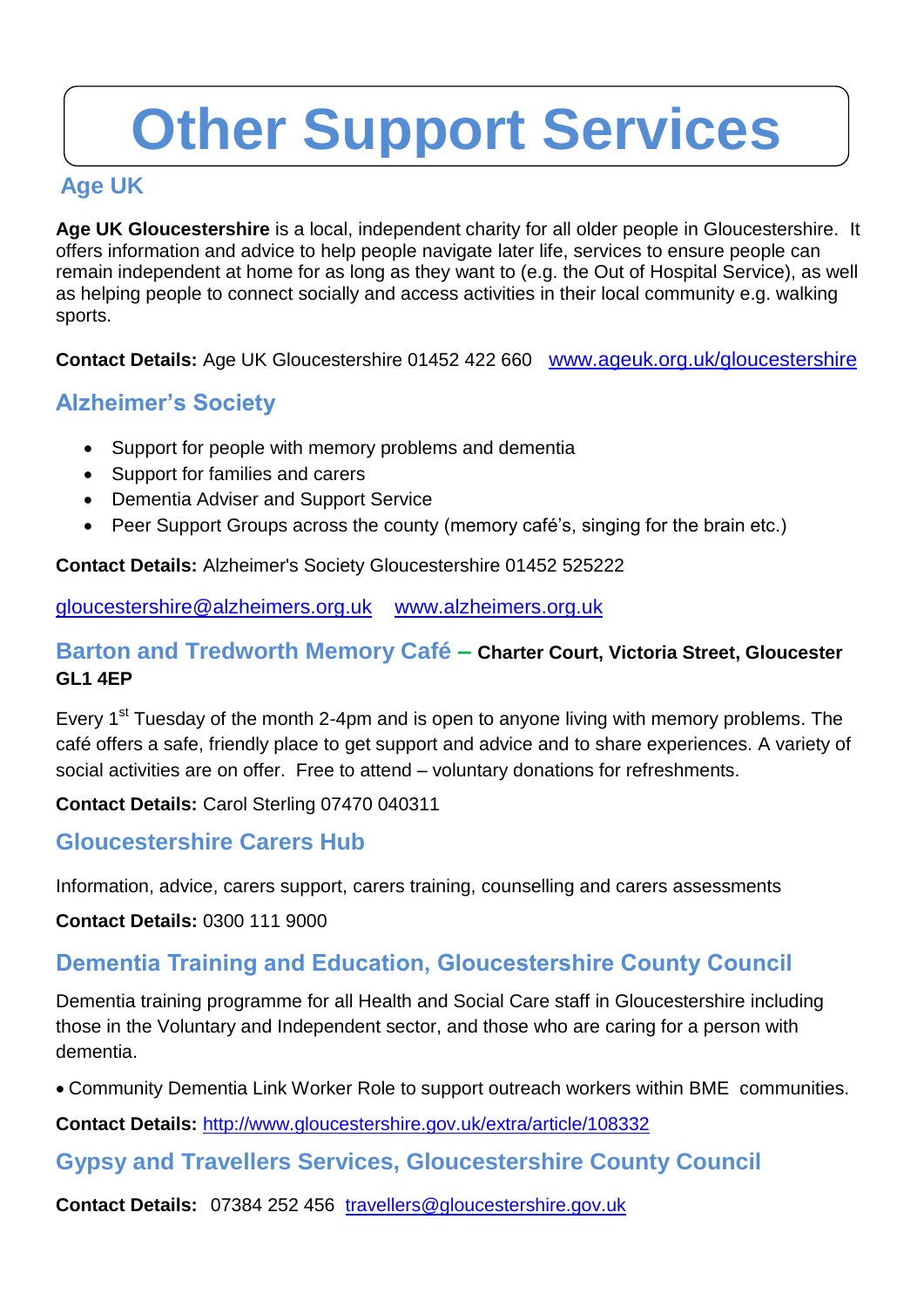# **Other Support Services**

# **Age UK**

**Age UK Gloucestershire** is a local, independent charity for all older people in Gloucestershire. It offers information and advice to help people navigate later life, services to ensure people can remain independent at home for as long as they want to (e.g. the Out of Hospital Service), as well as helping people to connect socially and access activities in their local community e.g. walking sports.

**Contact Details:** Age UK Gloucestershire 01452 422 660 [www.ageuk.org.uk/gloucestershire](http://www.ageuk.org.uk/gloucestershire)

# **Alzheimer's Society**

- Support for people with memory problems and dementia
- Support for families and carers
- Dementia Adviser and Support Service
- Peer Support Groups across the county (memory café's, singing for the brain etc.)

**Contact Details:** Alzheimer's Society Gloucestershire 01452 525222

[gloucestershire@alzheimers.org.uk](mailto:Gloucestershire@alzheimers.org.uk) [www.alzheimers.org.uk](http://www.alzheimers.org.uk/) 

### **Barton and Tredworth Memory Café – Charter Court, Victoria Street, Gloucester GL1 4EP**

Every 1<sup>st</sup> Tuesday of the month 2-4pm and is open to anyone living with memory problems. The café offers a safe, friendly place to get support and advice and to share experiences. A variety of social activities are on offer. Free to attend – voluntary donations for refreshments.

**Contact Details:** Carol Sterling 07470 040311

## **Gloucestershire Carers Hub**

Information, advice, carers support, carers training, counselling and carers assessments

**Contact Details:** 0300 111 9000

# **Dementia Training and Education, Gloucestershire County Council**

Dementia training programme for all Health and Social Care staff in Gloucestershire including those in the Voluntary and Independent sector, and those who are caring for a person with dementia.

Community Dementia Link Worker Role to support outreach workers within BME communities.

**Contact Details:** <http://www.gloucestershire.gov.uk/extra/article/108332>

## **Gypsy and Travellers Services, Gloucestershire County Council**

**Contact Details:** [07384 252 456](tel:07384252456) [travellers@gloucestershire.gov.uk](mailto:travellers@gloucestershire.gov.uk)